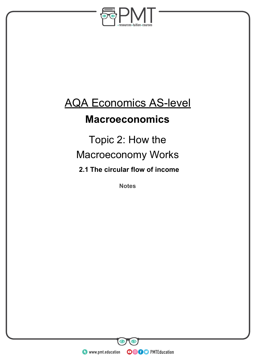

## AQA Economics AS-level

## **Macroeconomics**

## Topic 2: How the Macroeconomy Works **2.1 The circular flow of income**

**Notes** 

**WWW.pmt.education** 

**OOOO** PMTEducation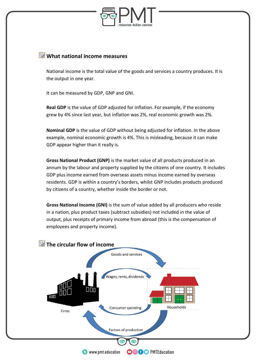

## **What national income measures**

National income is the total value of the goods and services a country produces. It is the output in one year.

It can be measured by GDP, GNP and GNI.

**Real GDP** is the value of GDP adjusted for inflation. For example, if the economy grew by 4% since last year, but inflation was 2%, real economic growth was 2%.

**Nominal GDP** is the value of GDP without being adjusted for inflation. In the above example, nominal economic growth is 4%. This is misleading, because it can make GDP appear higher than it really is.

**Gross National Product (GNP)** is the market value of all products produced in an annum by the labour and property supplied by the citizens of one country. It includes GDP plus income earned from overseas assets minus income earned by overseas residents. GDP is within a country's borders, whilst GNP includes products produced by citizens of a country, whether inside the border or not.

**Gross National Income (GNI)** is the sum of value added by all producers who reside in a nation, plus product taxes (subtract subsidies) not included in the value of output, plus receipts of primary income from abroad (this is the compensation of employees and property income).

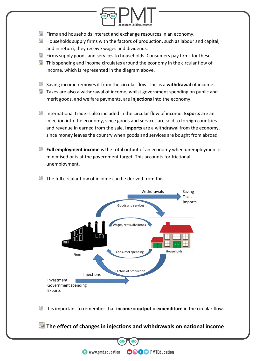

- $\blacksquare$  Firms and households interact and exchange resources in an economy.
- $\Box$  Households supply firms with the factors of production, such as labour and capital, and in return, they receive wages and dividends.
- $\blacksquare$  Firms supply goods and services to households. Consumers pay firms for these.
- $\Box$  This spending and income circulates around the economy in the circular flow of income, which is represented in the diagram above.
- Saving income removes it from the circular flow. This is a **withdrawal** of income.
- $\Box$  Taxes are also a withdrawal of income, whilst government spending on public and merit goods, and welfare payments, are **injections** into the economy.
- International trade is also included in the circular flow of income. **Exports** are an injection into the economy, since goods and services are sold to foreign countries and revenue in earned from the sale. **Imports** are a withdrawal from the economy, since money leaves the country when goods and services are bought from abroad.
- **Full employment income** is the total output of an economy when unemployment is minimised or is at the government target. This accounts for frictional unemployment.
- $\Box$  The full circular flow of income can be derived from this:



It is important to remember that **income = output = expenditure** in the circular flow.

**The effect of changes in injections and withdrawals on national income**

**OOOO** PMTEducation